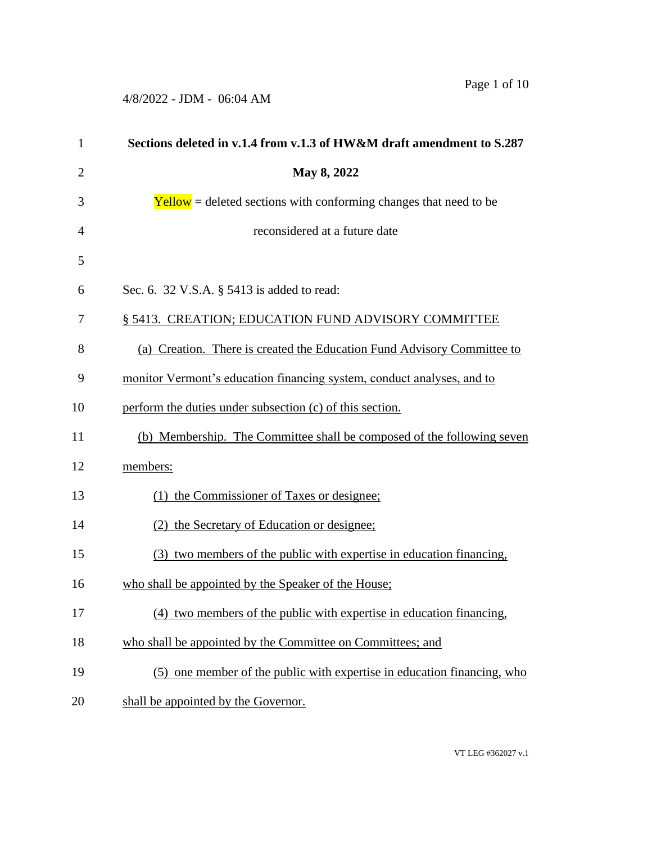| $\mathbf{1}$   | Sections deleted in v.1.4 from v.1.3 of HW&M draft amendment to S.287      |
|----------------|----------------------------------------------------------------------------|
| $\overline{2}$ | May 8, 2022                                                                |
| 3              | $\text{Yellow}$ = deleted sections with conforming changes that need to be |
| $\overline{4}$ | reconsidered at a future date                                              |
| 5              |                                                                            |
| 6              | Sec. 6. 32 V.S.A. § 5413 is added to read:                                 |
| 7              | § 5413. CREATION; EDUCATION FUND ADVISORY COMMITTEE                        |
| 8              | (a) Creation. There is created the Education Fund Advisory Committee to    |
| 9              | monitor Vermont's education financing system, conduct analyses, and to     |
| 10             | perform the duties under subsection (c) of this section.                   |
| 11             | (b) Membership. The Committee shall be composed of the following seven     |
| 12             | members:                                                                   |
| 13             | (1) the Commissioner of Taxes or designee;                                 |
| 14             | (2) the Secretary of Education or designee;                                |
| 15             | (3) two members of the public with expertise in education financing.       |
| 16             | who shall be appointed by the Speaker of the House;                        |
| 17             | (4) two members of the public with expertise in education financing,       |
| 18             | who shall be appointed by the Committee on Committees; and                 |
| 19             | (5) one member of the public with expertise in education financing, who    |
| 20             | shall be appointed by the Governor.                                        |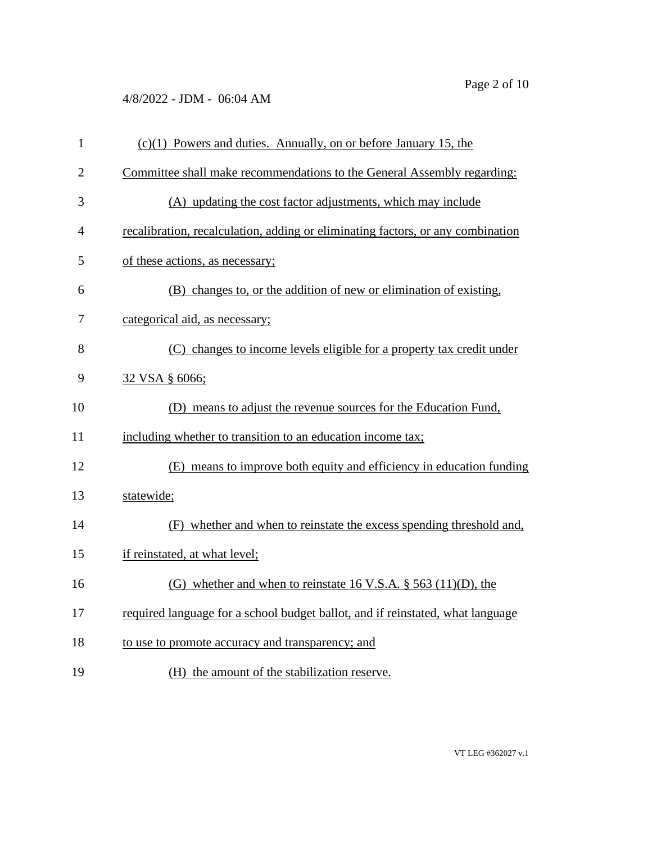| $\mathbf{1}$   | $(c)(1)$ Powers and duties. Annually, on or before January 15, the              |
|----------------|---------------------------------------------------------------------------------|
| $\overline{2}$ | Committee shall make recommendations to the General Assembly regarding:         |
| 3              | (A) updating the cost factor adjustments, which may include                     |
| 4              | recalibration, recalculation, adding or eliminating factors, or any combination |
| 5              | of these actions, as necessary;                                                 |
| 6              | (B) changes to, or the addition of new or elimination of existing,              |
| 7              | categorical aid, as necessary;                                                  |
| 8              | (C) changes to income levels eligible for a property tax credit under           |
| 9              | 32 VSA § 6066;                                                                  |
| 10             | (D) means to adjust the revenue sources for the Education Fund,                 |
| 11             | including whether to transition to an education income tax;                     |
| 12             | (E) means to improve both equity and efficiency in education funding            |
| 13             | statewide;                                                                      |
| 14             | (F) whether and when to reinstate the excess spending threshold and,            |
| 15             | if reinstated, at what level;                                                   |
| 16             | (G) whether and when to reinstate 16 V.S.A. $\S$ 563 (11)(D), the               |
| 17             | required language for a school budget ballot, and if reinstated, what language  |
| 18             | to use to promote accuracy and transparency; and                                |
| 19             | (H) the amount of the stabilization reserve.                                    |

VT LEG #362027 v.1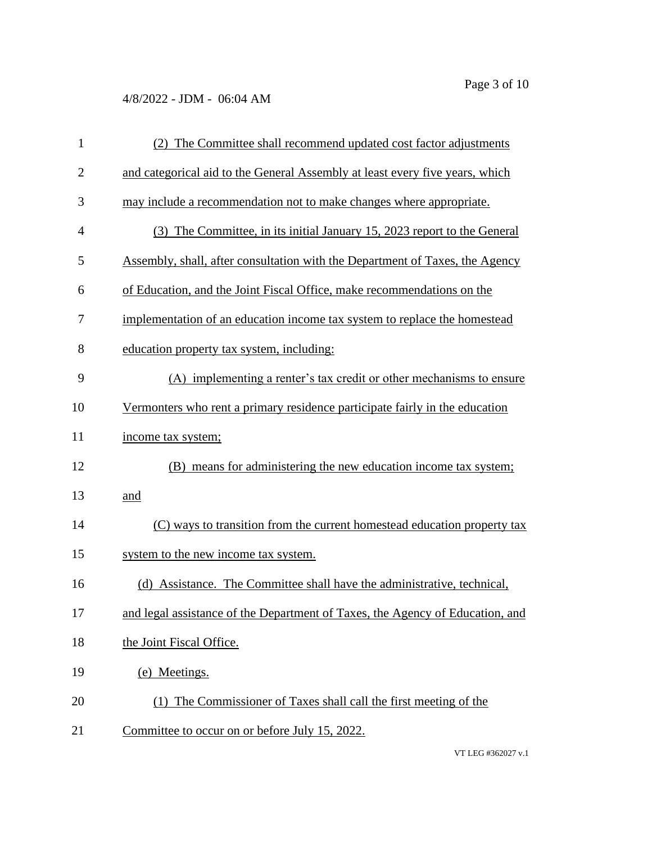| $\mathbf{1}$   | (2) The Committee shall recommend updated cost factor adjustments             |
|----------------|-------------------------------------------------------------------------------|
| $\overline{2}$ | and categorical aid to the General Assembly at least every five years, which  |
| 3              | may include a recommendation not to make changes where appropriate.           |
| $\overline{4}$ | (3) The Committee, in its initial January 15, 2023 report to the General      |
| 5              | Assembly, shall, after consultation with the Department of Taxes, the Agency  |
| 6              | of Education, and the Joint Fiscal Office, make recommendations on the        |
| 7              | implementation of an education income tax system to replace the homestead     |
| 8              | education property tax system, including:                                     |
| 9              | (A) implementing a renter's tax credit or other mechanisms to ensure          |
| 10             | Vermonters who rent a primary residence participate fairly in the education   |
| 11             | income tax system;                                                            |
| 12             | (B) means for administering the new education income tax system;              |
| 13             | and                                                                           |
| 14             | (C) ways to transition from the current homestead education property tax      |
| 15             | system to the new income tax system.                                          |
| 16             | (d) Assistance. The Committee shall have the administrative, technical,       |
| 17             | and legal assistance of the Department of Taxes, the Agency of Education, and |
| 18             | the Joint Fiscal Office.                                                      |
| 19             | (e) Meetings.                                                                 |
| 20             | (1) The Commissioner of Taxes shall call the first meeting of the             |
| 21             | Committee to occur on or before July 15, 2022.                                |

VT LEG #362027 v.1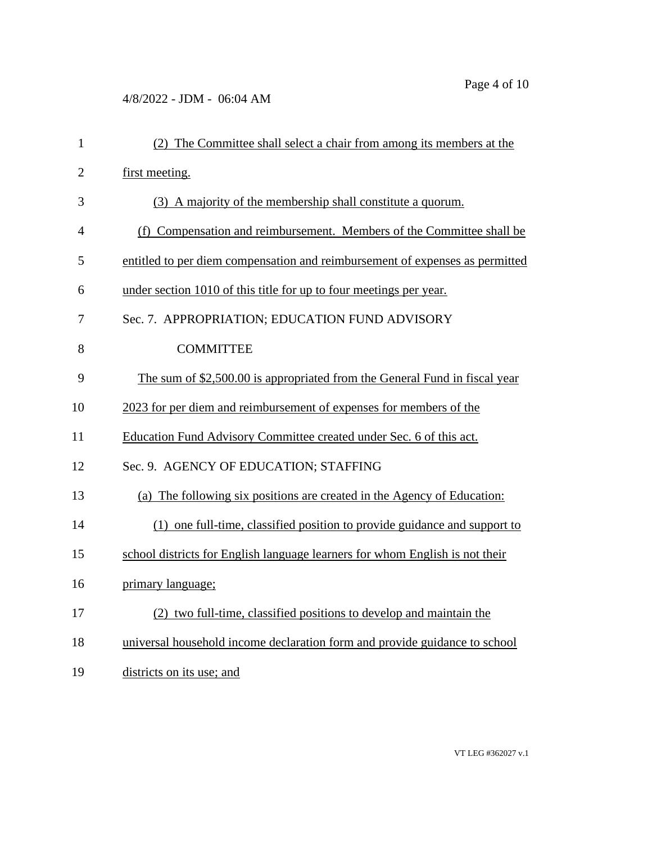| $\mathbf{1}$   | (2) The Committee shall select a chair from among its members at the         |
|----------------|------------------------------------------------------------------------------|
| $\overline{2}$ | first meeting.                                                               |
| 3              | (3) A majority of the membership shall constitute a quorum.                  |
| $\overline{4}$ | (f) Compensation and reimbursement. Members of the Committee shall be        |
| 5              | entitled to per diem compensation and reimbursement of expenses as permitted |
| 6              | under section 1010 of this title for up to four meetings per year.           |
| 7              | Sec. 7. APPROPRIATION; EDUCATION FUND ADVISORY                               |
| 8              | <b>COMMITTEE</b>                                                             |
| 9              | The sum of \$2,500.00 is appropriated from the General Fund in fiscal year   |
| 10             | 2023 for per diem and reimbursement of expenses for members of the           |
| 11             | Education Fund Advisory Committee created under Sec. 6 of this act.          |
| 12             | Sec. 9. AGENCY OF EDUCATION; STAFFING                                        |
| 13             | (a) The following six positions are created in the Agency of Education:      |
| 14             | (1) one full-time, classified position to provide guidance and support to    |
| 15             | school districts for English language learners for whom English is not their |
| 16             | primary language;                                                            |
| 17             | (2) two full-time, classified positions to develop and maintain the          |
| 18             | universal household income declaration form and provide guidance to school   |
| 19             | districts on its use; and                                                    |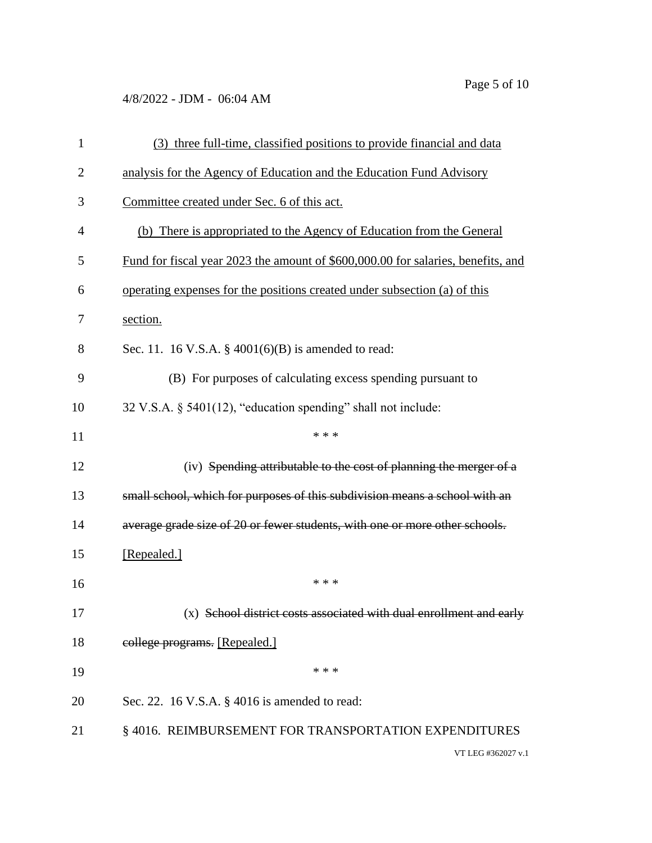| 1              | (3) three full-time, classified positions to provide financial and data          |
|----------------|----------------------------------------------------------------------------------|
| $\overline{2}$ | analysis for the Agency of Education and the Education Fund Advisory             |
| 3              | Committee created under Sec. 6 of this act.                                      |
| $\overline{4}$ | (b) There is appropriated to the Agency of Education from the General            |
| 5              | Fund for fiscal year 2023 the amount of \$600,000.00 for salaries, benefits, and |
| 6              | operating expenses for the positions created under subsection (a) of this        |
| 7              | section.                                                                         |
| 8              | Sec. 11. 16 V.S.A. $\S$ 4001(6)(B) is amended to read:                           |
| 9              | (B) For purposes of calculating excess spending pursuant to                      |
| 10             | 32 V.S.A. § 5401(12), "education spending" shall not include:                    |
| 11             | * * *                                                                            |
| 12             | (iv) Spending attributable to the cost of planning the merger of a               |
| 13             | small school, which for purposes of this subdivision means a school with an      |
| 14             | average grade size of 20 or fewer students, with one or more other schools.      |
| 15             | [Repealed.]                                                                      |
| 16             | * * *                                                                            |
| 17             | (x) School district costs associated with dual enrollment and early              |
| 18             | college programs. [Repealed.]                                                    |
| 19             | * * *                                                                            |
| 20             | Sec. 22. 16 V.S.A. § 4016 is amended to read:                                    |
| 21             | §4016. REIMBURSEMENT FOR TRANSPORTATION EXPENDITURES                             |
|                | VT LEG #362027 v.1                                                               |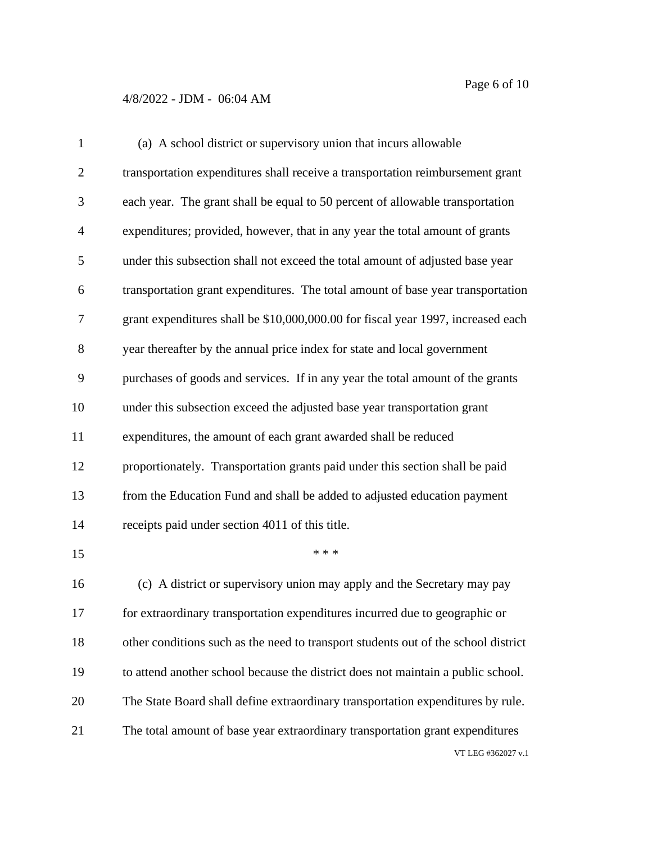| $\mathbf{1}$   | (a) A school district or supervisory union that incurs allowable                   |
|----------------|------------------------------------------------------------------------------------|
| $\overline{2}$ | transportation expenditures shall receive a transportation reimbursement grant     |
| 3              | each year. The grant shall be equal to 50 percent of allowable transportation      |
| 4              | expenditures; provided, however, that in any year the total amount of grants       |
| 5              | under this subsection shall not exceed the total amount of adjusted base year      |
| 6              | transportation grant expenditures. The total amount of base year transportation    |
| 7              | grant expenditures shall be \$10,000,000.00 for fiscal year 1997, increased each   |
| 8              | year thereafter by the annual price index for state and local government           |
| 9              | purchases of goods and services. If in any year the total amount of the grants     |
| 10             | under this subsection exceed the adjusted base year transportation grant           |
| 11             | expenditures, the amount of each grant awarded shall be reduced                    |
| 12             | proportionately. Transportation grants paid under this section shall be paid       |
| 13             | from the Education Fund and shall be added to adjusted education payment           |
| 14             | receipts paid under section 4011 of this title.                                    |
| 15             | * * *                                                                              |
| 16             | (c) A district or supervisory union may apply and the Secretary may pay            |
| 17             | for extraordinary transportation expenditures incurred due to geographic or        |
| 18             | other conditions such as the need to transport students out of the school district |
| 19             | to attend another school because the district does not maintain a public school.   |
| 20             | The State Board shall define extraordinary transportation expenditures by rule.    |
| 21             | The total amount of base year extraordinary transportation grant expenditures      |
|                | VT LEG #362027 v.1                                                                 |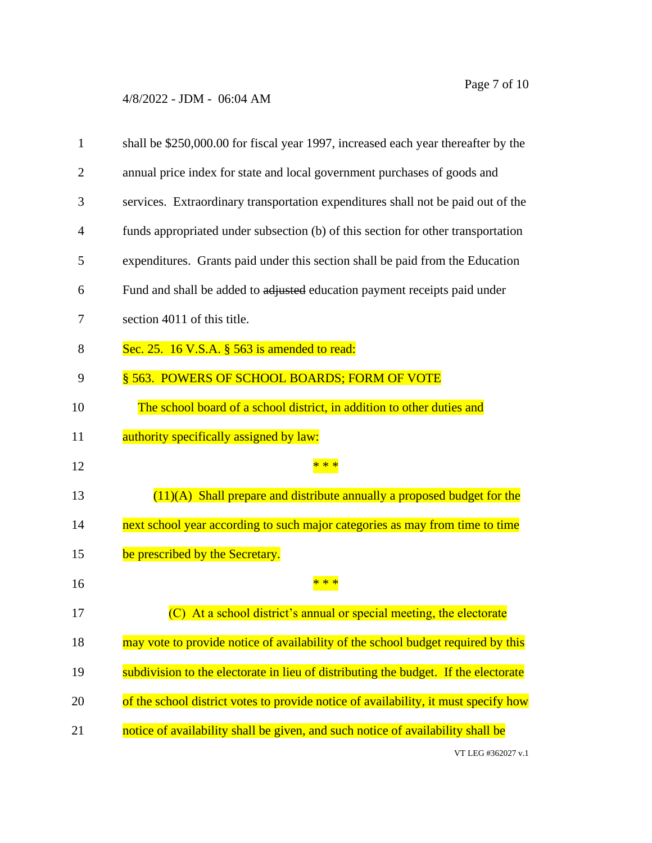| 1  | shall be \$250,000.00 for fiscal year 1997, increased each year thereafter by the   |
|----|-------------------------------------------------------------------------------------|
| 2  | annual price index for state and local government purchases of goods and            |
| 3  | services. Extraordinary transportation expenditures shall not be paid out of the    |
| 4  | funds appropriated under subsection (b) of this section for other transportation    |
| 5  | expenditures. Grants paid under this section shall be paid from the Education       |
| 6  | Fund and shall be added to adjusted education payment receipts paid under           |
| 7  | section 4011 of this title.                                                         |
| 8  | Sec. 25. 16 V.S.A. § 563 is amended to read:                                        |
| 9  | § 563. POWERS OF SCHOOL BOARDS; FORM OF VOTE                                        |
| 10 | The school board of a school district, in addition to other duties and              |
| 11 | authority specifically assigned by law:                                             |
| 12 |                                                                                     |
|    |                                                                                     |
| 13 | $(11)(A)$ Shall prepare and distribute annually a proposed budget for the           |
| 14 | next school year according to such major categories as may from time to time        |
| 15 | be prescribed by the Secretary.                                                     |
| 16 |                                                                                     |
| 17 | (C) At a school district's annual or special meeting, the electorate                |
| 18 | may vote to provide notice of availability of the school budget required by this    |
| 19 | subdivision to the electorate in lieu of distributing the budget. If the electorate |
| 20 | of the school district votes to provide notice of availability, it must specify how |
| 21 | notice of availability shall be given, and such notice of availability shall be     |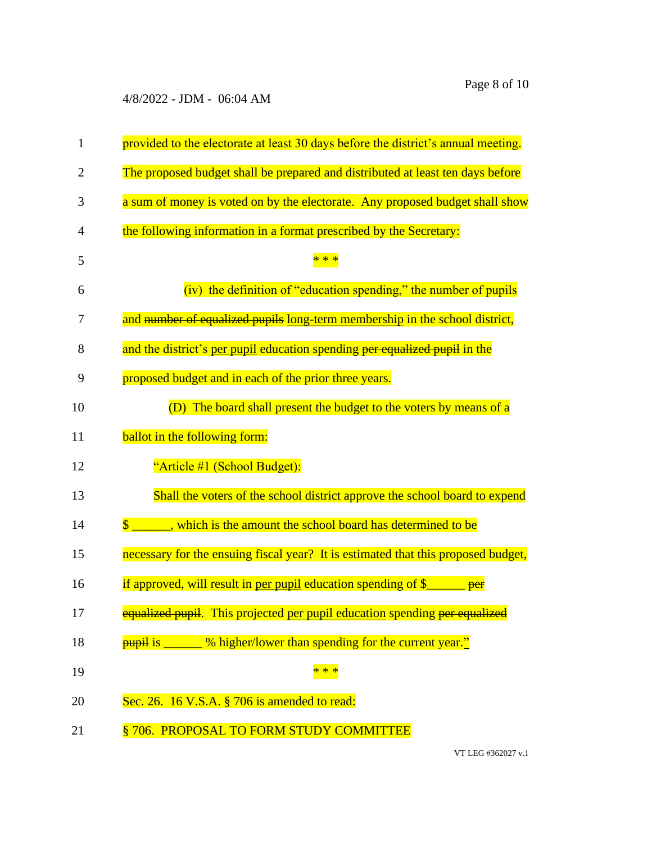| $\mathbf{1}$   | provided to the electorate at least 30 days before the district's annual meeting.     |
|----------------|---------------------------------------------------------------------------------------|
| $\overline{2}$ | The proposed budget shall be prepared and distributed at least ten days before        |
| 3              | a sum of money is voted on by the electorate. Any proposed budget shall show          |
| $\overline{4}$ | the following information in a format prescribed by the Secretary:                    |
| 5              |                                                                                       |
| 6              | (iv) the definition of "education spending," the number of pupils                     |
| 7              | and number of equalized pupils long-term membership in the school district,           |
| 8              | and the district's per pupil education spending per equalized pupil in the            |
| 9              | proposed budget and in each of the prior three years.                                 |
| 10             | (D) The board shall present the budget to the voters by means of a                    |
| 11             | ballot in the following form:                                                         |
| 12             | "Article #1 (School Budget):                                                          |
| 13             | Shall the voters of the school district approve the school board to expend            |
| 14             | ______, which is the amount the school board has determined to be                     |
| 15             | necessary for the ensuing fiscal year? It is estimated that this proposed budget,     |
| 16             | if approved, will result in per pupil education spending of $\S$<br>per               |
| 17             | equalized pupil. This projected per pupil education spending per equalized            |
| 18             | <b>pupil</b> is _<br><sup>1</sup> % higher/lower than spending for the current year." |
| 19             | $* *$                                                                                 |
| 20             | Sec. 26. 16 V.S.A. § 706 is amended to read:                                          |
| 21             | §706. PROPOSAL TO FORM STUDY COMMITTEE                                                |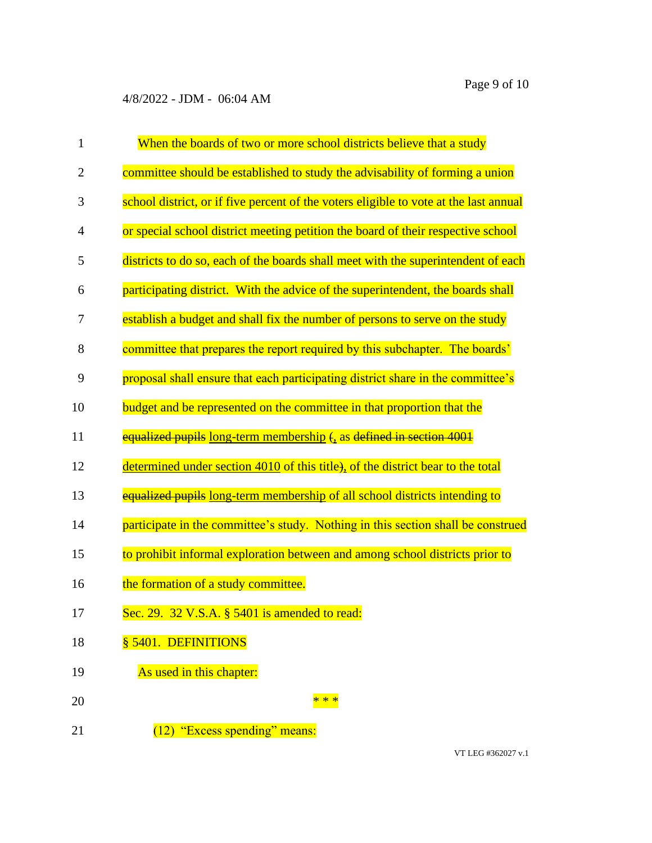| $\mathbf{1}$ | When the boards of two or more school districts believe that a study                  |
|--------------|---------------------------------------------------------------------------------------|
| 2            | committee should be established to study the advisability of forming a union          |
| 3            | school district, or if five percent of the voters eligible to vote at the last annual |
| 4            | or special school district meeting petition the board of their respective school      |
| 5            | districts to do so, each of the boards shall meet with the superintendent of each     |
| 6            | participating district. With the advice of the superintendent, the boards shall       |
| 7            | establish a budget and shall fix the number of persons to serve on the study          |
| 8            | committee that prepares the report required by this subchapter. The boards'           |
| 9            | proposal shall ensure that each participating district share in the committee's       |
| 10           | budget and be represented on the committee in that proportion that the                |
| 11           | equalized pupils long-term membership $\epsilon_1$ as defined in section 4001         |
| 12           | determined under section 4010 of this title), of the district bear to the total       |
| 13           | equalized pupils long-term membership of all school districts intending to            |
| 14           | participate in the committee's study. Nothing in this section shall be construed      |
| 15           | to prohibit informal exploration between and among school districts prior to          |
| 16           | the formation of a study committee.                                                   |
| 17           | Sec. 29. 32 V.S.A. § 5401 is amended to read:                                         |
| 18           | § 5401. DEFINITIONS                                                                   |
| 19           | As used in this chapter:                                                              |
| 20           | * * *                                                                                 |
| 21           | (12) "Excess spending" means:                                                         |

VT LEG #362027 v.1